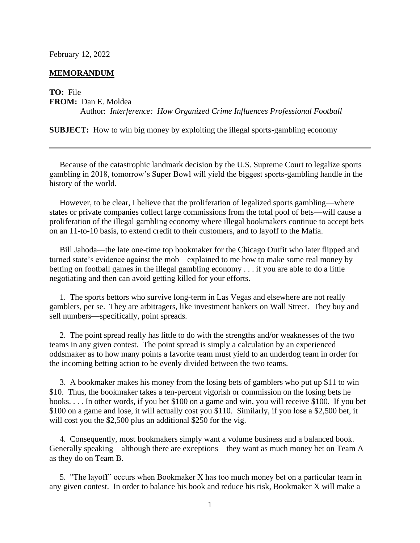## February 12, 2022

## **MEMORANDUM**

## **TO:** File

**FROM:** Dan E. Moldea

Author: *Interference: How Organized Crime Influences Professional Football*

**SUBJECT:** How to win big money by exploiting the illegal sports-gambling economy

 Because of the catastrophic landmark decision by the U.S. Supreme Court to legalize sports gambling in 2018, tomorrow's Super Bowl will yield the biggest sports-gambling handle in the history of the world.

 However, to be clear, I believe that the proliferation of legalized sports gambling—where states or private companies collect large commissions from the total pool of bets—will cause a proliferation of the illegal gambling economy where illegal bookmakers continue to accept bets on an 11-to-10 basis, to extend credit to their customers, and to layoff to the Mafia.

 Bill Jahoda—the late one-time top bookmaker for the Chicago Outfit who later flipped and turned state's evidence against the mob—explained to me how to make some real money by betting on football games in the illegal gambling economy . . . if you are able to do a little negotiating and then can avoid getting killed for your efforts.

 1. The sports bettors who survive long-term in Las Vegas and elsewhere are not really gamblers, per se. They are arbitragers, like investment bankers on Wall Street. They buy and sell numbers—specifically, point spreads.

 2. The point spread really has little to do with the strengths and/or weaknesses of the two teams in any given contest. The point spread is simply a calculation by an experienced oddsmaker as to how many points a favorite team must yield to an underdog team in order for the incoming betting action to be evenly divided between the two teams.

 3. A bookmaker makes his money from the losing bets of gamblers who put up \$11 to win \$10. Thus, the bookmaker takes a ten-percent vigorish or commission on the losing bets he books. . . . In other words, if you bet \$100 on a game and win, you will receive \$100. If you bet \$100 on a game and lose, it will actually cost you \$110. Similarly, if you lose a \$2,500 bet, it will cost you the \$2,500 plus an additional \$250 for the vig.

 4. Consequently, most bookmakers simply want a volume business and a balanced book. Generally speaking—although there are exceptions—they want as much money bet on Team A as they do on Team B.

 5. "The layoff" occurs when Bookmaker X has too much money bet on a particular team in any given contest. In order to balance his book and reduce his risk, Bookmaker X will make a